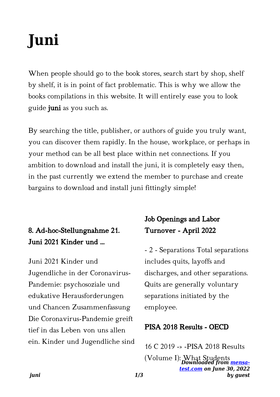# **Juni**

When people should go to the book stores, search start by shop, shelf by shelf, it is in point of fact problematic. This is why we allow the books compilations in this website. It will entirely ease you to look guide juni as you such as.

By searching the title, publisher, or authors of guide you truly want, you can discover them rapidly. In the house, workplace, or perhaps in your method can be all best place within net connections. If you ambition to download and install the juni, it is completely easy then, in the past currently we extend the member to purchase and create bargains to download and install juni fittingly simple!

## 8. Ad-hoc-Stellungnahme 21. Juni 2021 Kinder und …

Juni 2021 Kinder und Jugendliche in der Coronavirus-Pandemie: psychosoziale und edukative Herausforderungen und Chancen Zusammenfassung Die Coronavirus-Pandemie greift tief in das Leben von uns allen ein. Kinder und Jugendliche sind

## Job Openings and Labor Turnover - April 2022

- 2 - Separations Total separations includes quits, layoffs and discharges, and other separations. Quits are generally voluntary separations initiated by the employee.

#### PISA 2018 Results - OECD

*Downloaded from [mensa-](https://mensa-test.com)*(Volume I): What Students*[test.com](https://mensa-test.com) on June 30, 2022 by guest* 16 C 2019 -» -PISA 2018 Results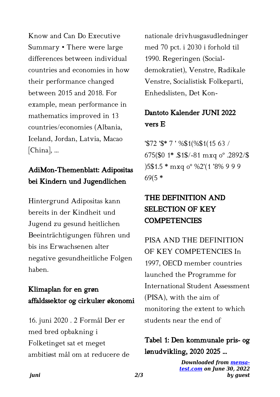Know and Can Do Executive Summary • There were large differences between individual countries and economies in how their performance changed between 2015 and 2018. For example, mean performance in mathematics improved in 13 countries/economies (Albania, Iceland, Jordan, Latvia, Macao [China], …

#### AdiMon-Themenblatt: Adipositas bei Kindern und Jugendlichen

Hintergrund Adipositas kann bereits in der Kindheit und Jugend zu gesund heitlichen Beeinträchtigungen führen und bis ins Erwachsenen alter negative gesundheitliche Folgen haben.

### Klimaplan for en grøn affaldssektor og cirkulær økonomi

16. juni 2020 . 2 Formål Der er med bred opbakning i Folketinget sat et meget ambitiøst mål om at reducere de nationale drivhusgasudledninger med 70 pct. i 2030 i forhold til 1990. Regeringen (Socialdemokratiet), Venstre, Radikale Venstre, Socialistisk Folkeparti, Enhedslisten, Det Kon-

### Dantoto Kalender JUNI 2022 vers E

'\$72 '\$\* 7 ' %\$1(%\$1(15 63 / 675(\$0 1\* .\$1\$/-81 mxq oº .2892/\$ )5\$1.5 \* mxq oº %2'(1 '8% 9 9 9 69(5 \*

## THE DEFINITION AND SELECTION OF KEY **COMPETENCIES**

PISA AND THE DEFINITION OF KEY COMPETENCIES In 1997, OECD member countries launched the Programme for International Student Assessment (PISA), with the aim of monitoring the extent to which students near the end of

Tabel 1: Den kommunale pris- og lønudvikling, 2020 2025 …

> *Downloaded from [mensa](https://mensa-test.com)[test.com](https://mensa-test.com) on June 30, 2022 by guest*